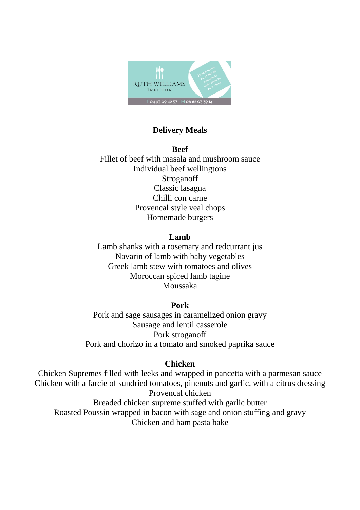

# **Delivery Meals**

**Beef** Fillet of beef with masala and mushroom sauce Individual beef wellingtons Stroganoff Classic lasagna Chilli con carne Provencal style veal chops Homemade burgers

### **Lamb**

Lamb shanks with a rosemary and redcurrant jus Navarin of lamb with baby vegetables Greek lamb stew with tomatoes and olives Moroccan spiced lamb tagine Moussaka

### **Pork**

Pork and sage sausages in caramelized onion gravy Sausage and lentil casserole Pork stroganoff Pork and chorizo in a tomato and smoked paprika sauce

# **Chicken**

Chicken Supremes filled with leeks and wrapped in pancetta with a parmesan sauce Chicken with a farcie of sundried tomatoes, pinenuts and garlic, with a citrus dressing Provencal chicken Breaded chicken supreme stuffed with garlic butter Roasted Poussin wrapped in bacon with sage and onion stuffing and gravy Chicken and ham pasta bake